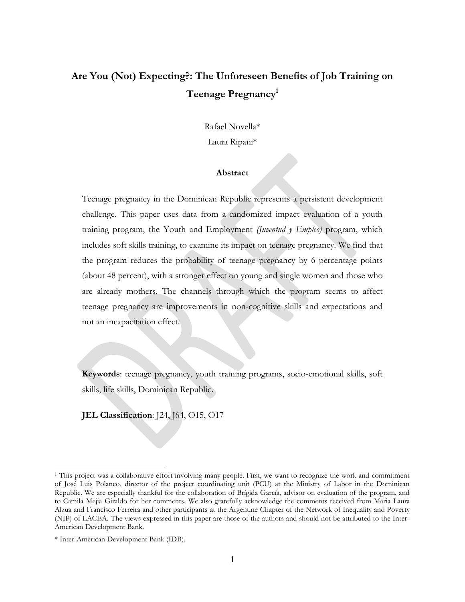# **Are You (Not) Expecting?: The Unforeseen Benefits of Job Training on Teenage Pregnancy 1**

Rafael Novella\*

Laura Ripani\*

## **Abstract**

Teenage pregnancy in the Dominican Republic represents a persistent development challenge. This paper uses data from a randomized impact evaluation of a youth training program, the Youth and Employment *(Juventud y Empleo)* program, which includes soft skills training, to examine its impact on teenage pregnancy. We find that the program reduces the probability of teenage pregnancy by 6 percentage points (about 48 percent), with a stronger effect on young and single women and those who are already mothers. The channels through which the program seems to affect teenage pregnancy are improvements in non-cognitive skills and expectations and not an incapacitation effect.

**Keywords**: teenage pregnancy, youth training programs, socio-emotional skills, soft skills, life skills, Dominican Republic.

**JEL Classification**: [24, [64, O15, O17]

<sup>1</sup> This project was a collaborative effort involving many people. First, we want to recognize the work and commitment of José Luis Polanco, director of the project coordinating unit (PCU) at the Ministry of Labor in the Dominican Republic. We are especially thankful for the collaboration of Brígida García, advisor on evaluation of the program, and to Camila Mejia Giraldo for her comments. We also gratefully acknowledge the comments received from Maria Laura Alzua and Francisco Ferreira and other participants at the Argentine Chapter of the Network of Inequality and Poverty (NIP) of LACEA. The views expressed in this paper are those of the authors and should not be attributed to the Inter-American Development Bank.

<sup>\*</sup> Inter-American Development Bank (IDB).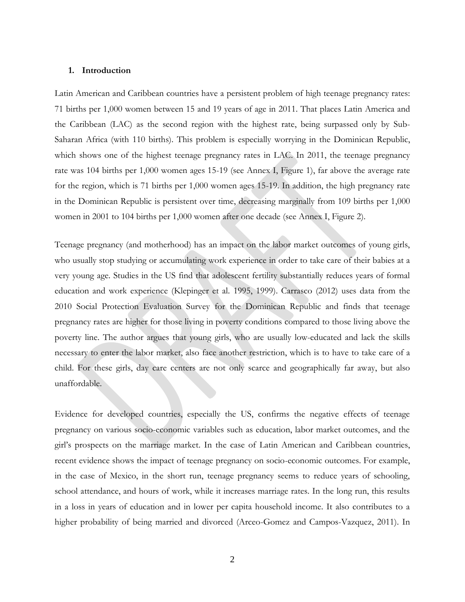## **1. Introduction**

Latin American and Caribbean countries have a persistent problem of high teenage pregnancy rates: 71 births per 1,000 women between 15 and 19 years of age in 2011. That places Latin America and the Caribbean (LAC) as the second region with the highest rate, being surpassed only by Sub-Saharan Africa (with 110 births). This problem is especially worrying in the Dominican Republic, which shows one of the highest teenage pregnancy rates in LAC. In 2011, the teenage pregnancy rate was 104 births per 1,000 women ages 15-19 (see Annex I, Figure 1), far above the average rate for the region, which is 71 births per 1,000 women ages 15-19. In addition, the high pregnancy rate in the Dominican Republic is persistent over time, decreasing marginally from 109 births per 1,000 women in 2001 to 104 births per 1,000 women after one decade (see Annex I, Figure 2).

Teenage pregnancy (and motherhood) has an impact on the labor market outcomes of young girls, who usually stop studying or accumulating work experience in order to take care of their babies at a very young age. Studies in the US find that adolescent fertility substantially reduces years of formal education and work experience (Klepinger et al. 1995, 1999). Carrasco (2012) uses data from the 2010 Social Protection Evaluation Survey for the Dominican Republic and finds that teenage pregnancy rates are higher for those living in poverty conditions compared to those living above the poverty line. The author argues that young girls, who are usually low-educated and lack the skills necessary to enter the labor market, also face another restriction, which is to have to take care of a child. For these girls, day care centers are not only scarce and geographically far away, but also unaffordable.

Evidence for developed countries, especially the US, confirms the negative effects of teenage pregnancy on various socio-economic variables such as education, labor market outcomes, and the girl's prospects on the marriage market. In the case of Latin American and Caribbean countries, recent evidence shows the impact of teenage pregnancy on socio-economic outcomes. For example, in the case of Mexico, in the short run, teenage pregnancy seems to reduce years of schooling, school attendance, and hours of work, while it increases marriage rates. In the long run, this results in a loss in years of education and in lower per capita household income. It also contributes to a higher probability of being married and divorced (Arceo-Gomez and Campos-Vazquez, 2011). In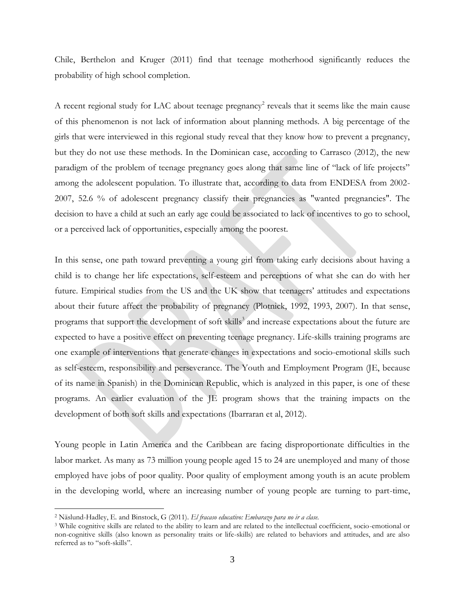Chile, Berthelon and Kruger (2011) find that teenage motherhood significantly reduces the probability of high school completion.

A recent regional study for LAC about teenage pregnancy<sup>2</sup> reveals that it seems like the main cause of this phenomenon is not lack of information about planning methods. A big percentage of the girls that were interviewed in this regional study reveal that they know how to prevent a pregnancy, but they do not use these methods. In the Dominican case, according to Carrasco (2012), the new paradigm of the problem of teenage pregnancy goes along that same line of "lack of life projects" among the adolescent population. To illustrate that, according to data from ENDESA from 2002- 2007, 52.6 % of adolescent pregnancy classify their pregnancies as "wanted pregnancies". The decision to have a child at such an early age could be associated to lack of incentives to go to school, or a perceived lack of opportunities, especially among the poorest.

In this sense, one path toward preventing a young girl from taking early decisions about having a child is to change her life expectations, self-esteem and perceptions of what she can do with her future. Empirical studies from the US and the UK show that teenagers' attitudes and expectations about their future affect the probability of pregnancy (Plotnick, 1992, 1993, 2007). In that sense, programs that support the development of soft skills<sup>3</sup> and increase expectations about the future are expected to have a positive effect on preventing teenage pregnancy. Life-skills training programs are one example of interventions that generate changes in expectations and socio-emotional skills such as self-esteem, responsibility and perseverance. The Youth and Employment Program (JE, because of its name in Spanish) in the Dominican Republic, which is analyzed in this paper, is one of these programs. An earlier evaluation of the JE program shows that the training impacts on the development of both soft skills and expectations (Ibarraran et al, 2012).

Young people in Latin America and the Caribbean are facing disproportionate difficulties in the labor market. As many as 73 million young people aged 15 to 24 are unemployed and many of those employed have jobs of poor quality. Poor quality of employment among youth is an acute problem in the developing world, where an increasing number of young people are turning to part-time,

<sup>2</sup> Näslund-Hadley, E. and Binstock, G (2011). *El fracaso educativo: Embarazo para no ir a clase.* 

<sup>3</sup> While cognitive skills are related to the ability to learn and are related to the intellectual coefficient, socio-emotional or non-cognitive skills (also known as personality traits or life-skills) are related to behaviors and attitudes, and are also referred as to "soft-skills".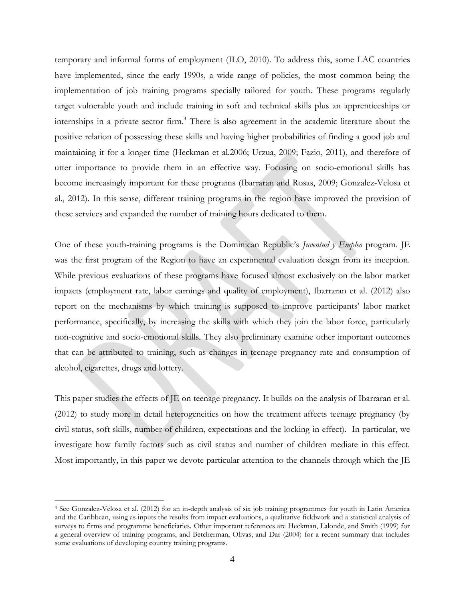temporary and informal forms of employment (ILO, 2010). To address this, some LAC countries have implemented, since the early 1990s, a wide range of policies, the most common being the implementation of job training programs specially tailored for youth. These programs regularly target vulnerable youth and include training in soft and technical skills plus an apprenticeships or internships in a private sector firm.<sup>4</sup> There is also agreement in the academic literature about the positive relation of possessing these skills and having higher probabilities of finding a good job and maintaining it for a longer time (Heckman et al.2006; Urzua, 2009; Fazio, 2011), and therefore of utter importance to provide them in an effective way. Focusing on socio-emotional skills has become increasingly important for these programs (Ibarraran and Rosas, 2009; Gonzalez-Velosa et al., 2012). In this sense, different training programs in the region have improved the provision of these services and expanded the number of training hours dedicated to them.

One of these youth-training programs is the Dominican Republic's *Juventud y Empleo* program. JE was the first program of the Region to have an experimental evaluation design from its inception. While previous evaluations of these programs have focused almost exclusively on the labor market impacts (employment rate, labor earnings and quality of employment), Ibarraran et al. (2012) also report on the mechanisms by which training is supposed to improve participants' labor market performance, specifically, by increasing the skills with which they join the labor force, particularly non-cognitive and socio-emotional skills. They also preliminary examine other important outcomes that can be attributed to training, such as changes in teenage pregnancy rate and consumption of alcohol, cigarettes, drugs and lottery.

This paper studies the effects of JE on teenage pregnancy. It builds on the analysis of Ibarraran et al. (2012) to study more in detail heterogeneities on how the treatment affects teenage pregnancy (by civil status, soft skills, number of children, expectations and the locking-in effect). In particular, we investigate how family factors such as civil status and number of children mediate in this effect. Most importantly, in this paper we devote particular attention to the channels through which the JE

<sup>4</sup> See Gonzalez-Velosa et al. (2012) for an in-depth analysis of six job training programmes for youth in Latin America and the Caribbean, using as inputs the results from impact evaluations, a qualitative fieldwork and a statistical analysis of surveys to firms and programme beneficiaries. Other important references are Heckman, Lalonde, and Smith (1999) for a general overview of training programs, and Betcherman, Olivas, and Dar (2004) for a recent summary that includes some evaluations of developing country training programs.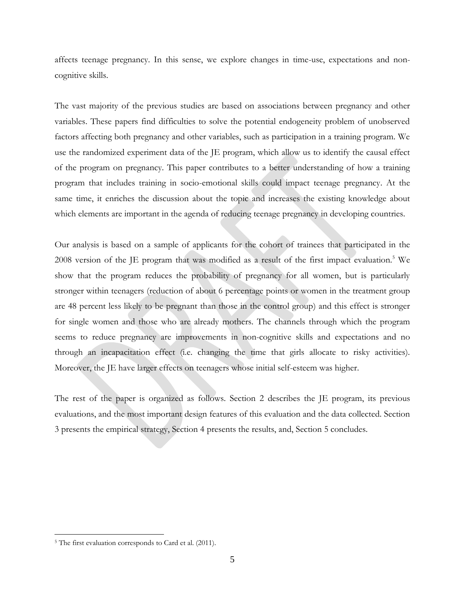affects teenage pregnancy. In this sense, we explore changes in time-use, expectations and noncognitive skills.

The vast majority of the previous studies are based on associations between pregnancy and other variables. These papers find difficulties to solve the potential endogeneity problem of unobserved factors affecting both pregnancy and other variables, such as participation in a training program. We use the randomized experiment data of the JE program, which allow us to identify the causal effect of the program on pregnancy. This paper contributes to a better understanding of how a training program that includes training in socio-emotional skills could impact teenage pregnancy. At the same time, it enriches the discussion about the topic and increases the existing knowledge about which elements are important in the agenda of reducing teenage pregnancy in developing countries.

Our analysis is based on a sample of applicants for the cohort of trainees that participated in the 2008 version of the JE program that was modified as a result of the first impact evaluation.<sup>5</sup> We show that the program reduces the probability of pregnancy for all women, but is particularly stronger within teenagers (reduction of about 6 percentage points or women in the treatment group are 48 percent less likely to be pregnant than those in the control group) and this effect is stronger for single women and those who are already mothers. The channels through which the program seems to reduce pregnancy are improvements in non-cognitive skills and expectations and no through an incapacitation effect (i.e. changing the time that girls allocate to risky activities). Moreover, the JE have larger effects on teenagers whose initial self-esteem was higher.

The rest of the paper is organized as follows. Section 2 describes the JE program, its previous evaluations, and the most important design features of this evaluation and the data collected. Section 3 presents the empirical strategy, Section 4 presents the results, and, Section 5 concludes.

<sup>&</sup>lt;sup>5</sup> The first evaluation corresponds to Card et al. (2011).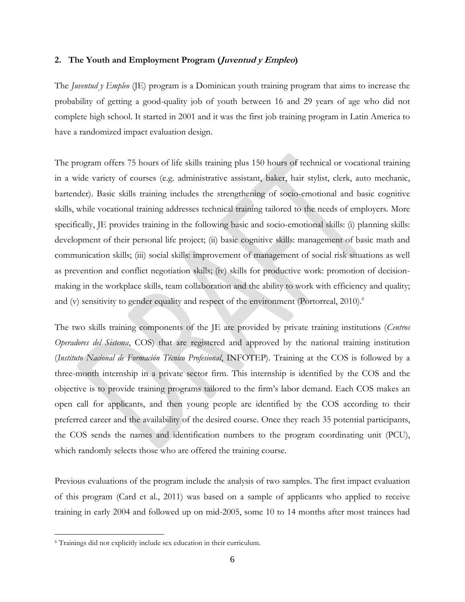#### **2. The Youth and Employment Program (Juventud y Empleo)**

The *Juventud y Empleo* (JE) program is a Dominican youth training program that aims to increase the probability of getting a good-quality job of youth between 16 and 29 years of age who did not complete high school. It started in 2001 and it was the first job training program in Latin America to have a randomized impact evaluation design.

The program offers 75 hours of life skills training plus 150 hours of technical or vocational training in a wide variety of courses (e.g. administrative assistant, baker, hair stylist, clerk, auto mechanic, bartender). Basic skills training includes the strengthening of socio-emotional and basic cognitive skills, while vocational training addresses technical training tailored to the needs of employers. More specifically, JE provides training in the following basic and socio-emotional skills: (i) planning skills: development of their personal life project; (ii) basic cognitive skills: management of basic math and communication skills; (iii) social skills: improvement of management of social risk situations as well as prevention and conflict negotiation skills; (iv) skills for productive work: promotion of decisionmaking in the workplace skills, team collaboration and the ability to work with efficiency and quality; and (v) sensitivity to gender equality and respect of the environment (Portorreal, 2010).<sup>6</sup>

The two skills training components of the JE are provided by private training institutions (*Centros Operadores del Sistema*, COS) that are registered and approved by the national training institution (*Instituto Nacional de Formación Técnico Profesional*, INFOTEP). Training at the COS is followed by a three-month internship in a private sector firm. This internship is identified by the COS and the objective is to provide training programs tailored to the firm's labor demand. Each COS makes an open call for applicants, and then young people are identified by the COS according to their preferred career and the availability of the desired course. Once they reach 35 potential participants, the COS sends the names and identification numbers to the program coordinating unit (PCU), which randomly selects those who are offered the training course.

Previous evaluations of the program include the analysis of two samples. The first impact evaluation of this program (Card et al., 2011) was based on a sample of applicants who applied to receive training in early 2004 and followed up on mid-2005, some 10 to 14 months after most trainees had

<sup>6</sup> Trainings did not explicitly include sex education in their curriculum.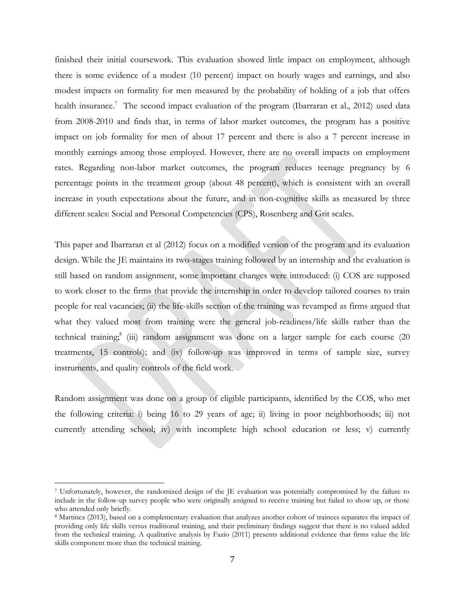finished their initial coursework. This evaluation showed little impact on employment, although there is some evidence of a modest (10 percent) impact on hourly wages and earnings, and also modest impacts on formality for men measured by the probability of holding of a job that offers health insurance.<sup>7</sup> The second impact evaluation of the program (Ibarraran et al., 2012) used data from 2008-2010 and finds that, in terms of labor market outcomes, the program has a positive impact on job formality for men of about 17 percent and there is also a 7 percent increase in monthly earnings among those employed. However, there are no overall impacts on employment rates. Regarding non-labor market outcomes, the program reduces teenage pregnancy by 6 percentage points in the treatment group (about 48 percent), which is consistent with an overall increase in youth expectations about the future, and in non-cognitive skills as measured by three different scales: Social and Personal Competencies (CPS), Rosenberg and Grit scales.

This paper and Ibarraran et al (2012) focus on a modified version of the program and its evaluation design. While the JE maintains its two-stages training followed by an internship and the evaluation is still based on random assignment, some important changes were introduced: (i) COS are supposed to work closer to the firms that provide the internship in order to develop tailored courses to train people for real vacancies; (ii) the life-skills section of the training was revamped as firms argued that what they valued most from training were the general job-readiness/life skills rather than the technical training;<sup>8</sup> (iii) random assignment was done on a larger sample for each course (20 treatments, 15 controls); and (iv) follow-up was improved in terms of sample size, survey instruments, and quality controls of the field work.

Random assignment was done on a group of eligible participants, identified by the COS, who met the following criteria: i) being 16 to 29 years of age; ii) living in poor neighborhoods; iii) not currently attending school; iv) with incomplete high school education or less; v) currently

<sup>7</sup> Unfortunately, however, the randomized design of the JE evaluation was potentially compromised by the failure to include in the follow-up survey people who were originally assigned to receive training but failed to show up, or those who attended only briefly.

<sup>8</sup> Martinez (2013), based on a complementary evaluation that analyzes another cohort of trainees separates the impact of providing only life skills versus traditional training, and their preliminary findings suggest that there is no valued added from the technical training. A qualitative analysis by Fazio (2011) presents additional evidence that firms value the life skills component more than the technical training.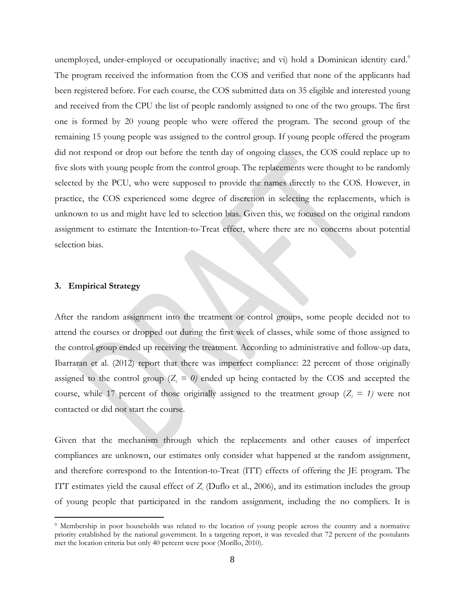unemployed, under-employed or occupationally inactive; and vi) hold a Dominican identity card.<sup>9</sup> The program received the information from the COS and verified that none of the applicants had been registered before. For each course, the COS submitted data on 35 eligible and interested young and received from the CPU the list of people randomly assigned to one of the two groups. The first one is formed by 20 young people who were offered the program. The second group of the remaining 15 young people was assigned to the control group. If young people offered the program did not respond or drop out before the tenth day of ongoing classes, the COS could replace up to five slots with young people from the control group. The replacements were thought to be randomly selected by the PCU, who were supposed to provide the names directly to the COS. However, in practice, the COS experienced some degree of discretion in selecting the replacements, which is unknown to us and might have led to selection bias. Given this, we focused on the original random assignment to estimate the Intention-to-Treat effect, where there are no concerns about potential selection bias.

## **3. Empirical Strategy**

 $\overline{a}$ 

After the random assignment into the treatment or control groups, some people decided not to attend the courses or dropped out during the first week of classes, while some of those assigned to the control group ended up receiving the treatment. According to administrative and follow-up data, Ibarraran et al. (2012) report that there was imperfect compliance: 22 percent of those originally assigned to the control group  $(Z_i = 0)$  ended up being contacted by the COS and accepted the course, while 17 percent of those originally assigned to the treatment group  $(Z_i = 1)$  were not contacted or did not start the course.

Given that the mechanism through which the replacements and other causes of imperfect compliances are unknown, our estimates only consider what happened at the random assignment, and therefore correspond to the Intention-to-Treat (ITT) effects of offering the JE program. The ITT estimates yield the causal effect of *Z<sup>i</sup>* (Duflo et al., 2006), and its estimation includes the group of young people that participated in the random assignment, including the no compliers*.* It is

<sup>9</sup> Membership in poor households was related to the location of young people across the country and a normative priority established by the national government. In a targeting report, it was revealed that 72 percent of the postulants met the location criteria but only 40 percent were poor (Morillo, 2010).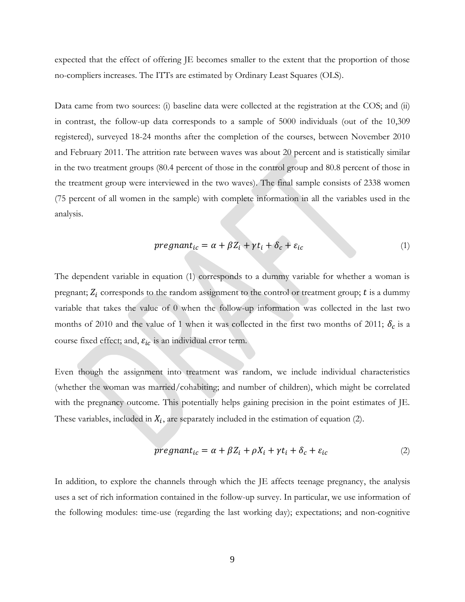expected that the effect of offering JE becomes smaller to the extent that the proportion of those no-compliers increases. The ITTs are estimated by Ordinary Least Squares (OLS).

Data came from two sources: (i) baseline data were collected at the registration at the COS; and (ii) in contrast, the follow-up data corresponds to a sample of 5000 individuals (out of the 10,309 registered), surveyed 18-24 months after the completion of the courses, between November 2010 and February 2011. The attrition rate between waves was about 20 percent and is statistically similar in the two treatment groups (80.4 percent of those in the control group and 80.8 percent of those in the treatment group were interviewed in the two waves). The final sample consists of 2338 women (75 percent of all women in the sample) with complete information in all the variables used in the analysis.

$$
pregnant_{ic} = \alpha + \beta Z_i + \gamma t_i + \delta_c + \varepsilon_{ic}
$$
\n<sup>(1)</sup>

The dependent variable in equation (1) corresponds to a dummy variable for whether a woman is pregnant;  $Z_i$  corresponds to the random assignment to the control or treatment group; t is a dummy variable that takes the value of 0 when the follow-up information was collected in the last two months of 2010 and the value of 1 when it was collected in the first two months of 2011;  $\delta_c$  is a course fixed effect; and,  $\varepsilon_{ic}$  is an individual error term.

Even though the assignment into treatment was random, we include individual characteristics (whether the woman was married/cohabiting; and number of children), which might be correlated with the pregnancy outcome. This potentially helps gaining precision in the point estimates of JE. These variables, included in  $X_i$ , are separately included in the estimation of equation (2).

$$
pregnant_{ic} = \alpha + \beta Z_i + \rho X_i + \gamma t_i + \delta_c + \varepsilon_{ic}
$$
\n<sup>(2)</sup>

In addition, to explore the channels through which the JE affects teenage pregnancy, the analysis uses a set of rich information contained in the follow-up survey. In particular, we use information of the following modules: time-use (regarding the last working day); expectations; and non-cognitive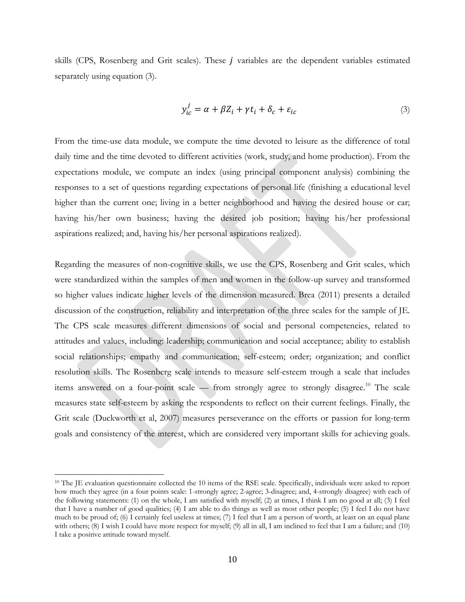skills (CPS, Rosenberg and Grit scales). These  $j$  variables are the dependent variables estimated separately using equation (3).

$$
y_{ic}^j = \alpha + \beta Z_i + \gamma t_i + \delta_c + \varepsilon_{ic}
$$
\n(3)

From the time-use data module, we compute the time devoted to leisure as the difference of total daily time and the time devoted to different activities (work, study, and home production). From the expectations module, we compute an index (using principal component analysis) combining the responses to a set of questions regarding expectations of personal life (finishing a educational level higher than the current one; living in a better neighborhood and having the desired house or car; having his/her own business; having the desired job position; having his/her professional aspirations realized; and, having his/her personal aspirations realized).

Regarding the measures of non-cognitive skills, we use the CPS, Rosenberg and Grit scales, which were standardized within the samples of men and women in the follow-up survey and transformed so higher values indicate higher levels of the dimension measured. Brea (2011) presents a detailed discussion of the construction, reliability and interpretation of the three scales for the sample of JE. The CPS scale measures different dimensions of social and personal competencies, related to attitudes and values, including: leadership; communication and social acceptance; ability to establish social relationships; empathy and communication; self-esteem; order; organization; and conflict resolution skills. The Rosenberg scale intends to measure self-esteem trough a scale that includes items answered on a four-point scale — from strongly agree to strongly disagree.<sup>10</sup> The scale measures state self-esteem by asking the respondents to reflect on their current feelings. Finally, the Grit scale (Duckworth et al, 2007) measures perseverance on the efforts or passion for long-term goals and consistency of the interest, which are considered very important skills for achieving goals.

 $10$  The JE evaluation questionnaire collected the 10 items of the RSE scale. Specifically, individuals were asked to report how much they agree (in a four points scale: 1-strongly agree; 2-agree; 3-disagree; and, 4-strongly disagree) with each of the following statements: (1) on the whole, I am satisfied with myself; (2) at times, I think I am no good at all; (3) I feel that I have a number of good qualities; (4) I am able to do things as well as most other people; (5) I feel I do not have much to be proud of; (6) I certainly feel useless at times; (7) I feel that I am a person of worth, at least on an equal plane with others; (8) I wish I could have more respect for myself; (9) all in all, I am inclined to feel that I am a failure; and (10) I take a positive attitude toward myself.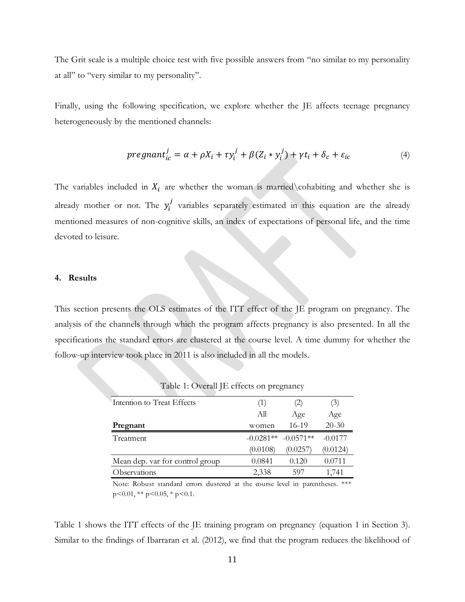The Grit scale is a multiple choice test with five possible answers from "no similar to my personality at all" to "very similar to my personality".

Finally, using the following specification, we explore whether the JE affects teenage pregnancy heterogeneously by the mentioned channels:

$$
pregnant_{ic}^{j} = \alpha + \rho X_{i} + \tau y_{i}^{j} + \beta (Z_{i} * y_{i}^{j}) + \gamma t_{i} + \delta_{c} + \varepsilon_{ic}
$$
\n<sup>(4)</sup>

The variables included in  $X_i$  are whether the woman is married\cohabiting and whether she is already mother or not. The  $y_i^j$  variables separately estimated in this equation are the already mentioned measures of non-cognitive skills, an index of expectations of personal life, and the time devoted to leisure.

#### **4. Results**

This section presents the OLS estimates of the ITT effect of the JE program on pregnancy. The analysis of the channels through which the program affects pregnancy is also presented. In all the specifications the standard errors are clustered at the course level. A time dummy for whether the follow-up interview took place in 2011 is also included in all the models.

| Intention to Treat Effects      | (1)      |                         | (3)       |
|---------------------------------|----------|-------------------------|-----------|
|                                 | All      | Age                     | Age       |
| Pregnant                        | women    | 16-19                   | $20 - 30$ |
| Treatment                       |          | $-0.0281**$ $-0.0571**$ | $-0.0177$ |
|                                 | (0.0108) | (0.0257)                | (0.0124)  |
| Mean dep. var for control group | 0.0841   | 0.120                   | 0.0711    |
| Observations                    | 2,338    | 597                     | 1.741     |

Table 1: Overall JE effects on pregnancy

Note: Robust standard errors dustered at the course level in parentheses. \*\*\*  $p<0.01$ , \*\*  $p<0.05$ , \*  $p<0.1$ .

Table 1 shows the ITT effects of the JE training program on pregnancy (equation 1 in Section 3). Similar to the findings of Ibarraran et al. (2012), we find that the program reduces the likelihood of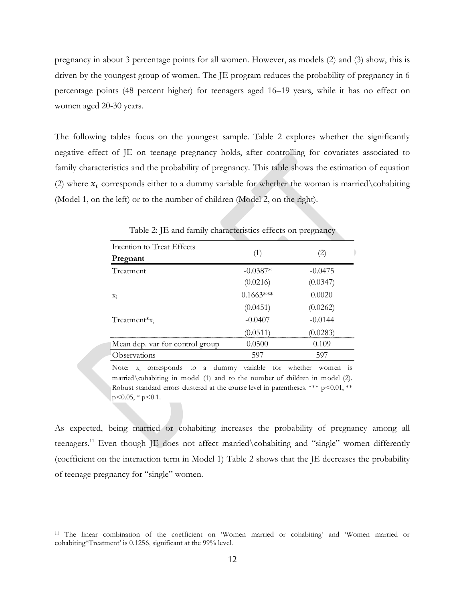pregnancy in about 3 percentage points for all women. However, as models (2) and (3) show, this is driven by the youngest group of women. The JE program reduces the probability of pregnancy in 6 percentage points (48 percent higher) for teenagers aged 16–19 years, while it has no effect on women aged 20-30 years.

The following tables focus on the youngest sample. Table 2 explores whether the significantly negative effect of JE on teenage pregnancy holds, after controlling for covariates associated to family characteristics and the probability of pregnancy. This table shows the estimation of equation (2) where  $x_i$  corresponds either to a dummy variable for whether the woman is married\cohabiting (Model 1, on the left) or to the number of children (Model 2, on the right).

| Intention to Treat Effects      | (1)         | (2)       |
|---------------------------------|-------------|-----------|
| Pregnant                        |             |           |
| Treatment                       | $-0.0387*$  | $-0.0475$ |
|                                 | (0.0216)    | (0.0347)  |
| $X_i$                           | $0.1663***$ | 0.0020    |
|                                 | (0.0451)    | (0.0262)  |
| $Treatment*x_i$                 | $-0.0407$   | $-0.0144$ |
|                                 | (0.0511)    | (0.0283)  |
| Mean dep. var for control group | 0.0500      | 0.109     |
| Observations                    | 597         | 597       |

Table 2: JE and family characteristics effects on pregnancy

Note:  $x_i$  corresponds to a dummy variable for whether women is married\cohabiting in model (1) and to the number of children in model (2). Note:  $x_i$  corresponds to a dummy variable for whether women is married \cohabiting in model (1) and to the number of children in model (2).<br>Robust standard errors dustered at the course level in parentheses. \*\*\* p<0.01,  $p<0.05$ , \*  $p<0.1$ .

As expected, being married or cohabiting increases the probability of pregnancy among all teenagers.<sup>11</sup> Even though JE does not affect married\cohabiting and "single" women differently (coefficient on the interaction term in Model 1) Table 2 shows that the JE decreases the probability of teenage pregnancy for "single" women.

<sup>11</sup> The linear combination of the coefficient on 'Women married or cohabiting' and 'Women married or cohabiting\*Treatment' is 0.1256, significant at the 99% level.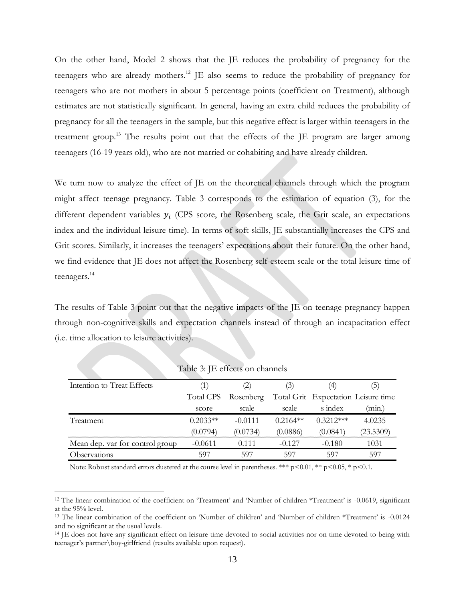On the other hand, Model 2 shows that the JE reduces the probability of pregnancy for the teenagers who are already mothers.<sup>12</sup> JE also seems to reduce the probability of pregnancy for teenagers who are not mothers in about 5 percentage points (coefficient on Treatment), although estimates are not statistically significant. In general, having an extra child reduces the probability of pregnancy for all the teenagers in the sample, but this negative effect is larger within teenagers in the treatment group.<sup>13</sup> The results point out that the effects of the JE program are larger among teenagers (16-19 years old), who are not married or cohabiting and have already children.

We turn now to analyze the effect of JE on the theoretical channels through which the program might affect teenage pregnancy. Table 3 corresponds to the estimation of equation (3), for the different dependent variables  $y_i$  (CPS score, the Rosenberg scale, the Grit scale, an expectations index and the individual leisure time). In terms of soft-skills, JE substantially increases the CPS and Grit scores. Similarly, it increases the teenagers' expectations about their future. On the other hand, we find evidence that JE does not affect the Rosenberg self-esteem scale or the total leisure time of teenagers. 14

The results of Table 3 point out that the negative impacts of the JE on teenage pregnancy happen through non-cognitive skills and expectation channels instead of through an incapacitation effect (i.e. time allocation to leisure activities).

| Intention to Treat Effects      |            |           | (3)        | (4)                                 | (5)       |
|---------------------------------|------------|-----------|------------|-------------------------------------|-----------|
|                                 | Total CPS  | Rosenberg |            | Total Grit Expectation Leisure time |           |
|                                 | score      | scale     | scale      | s index                             | (mın.)    |
| Treatment                       | $0.2033**$ | $-0.0111$ | $0.2164**$ | $0.3212***$                         | 4.0235    |
|                                 | (0.0794)   | (0.0734)  | (0.0886)   | (0.0841)                            | (23.5309) |
| Mean dep. var for control group | $-0.0611$  | 0.111     | $-0.127$   | $-0.180$                            | 1031      |
| Observations                    | 597        | 597       | 597        | 597                                 | 597       |

Table 3: JE effects on channels

Note: Robust standard errors dustered at the course level in parentheses. \*\*\*  $p<0.01$ , \*\*  $p<0.05$ , \*  $p<0.1$ .

<sup>&</sup>lt;sup>12</sup> The linear combination of the coefficient on 'Treatment' and 'Number of children \*Treatment' is -0.0619, significant at the 95% level.

<sup>&</sup>lt;sup>13</sup> The linear combination of the coefficient on 'Number of children' and 'Number of children \*Treatment' is -0.0124 and no significant at the usual levels.

<sup>14</sup> JE does not have any significant effect on leisure time devoted to social activities nor on time devoted to being with teenager's partner\boy-girlfriend (results available upon request).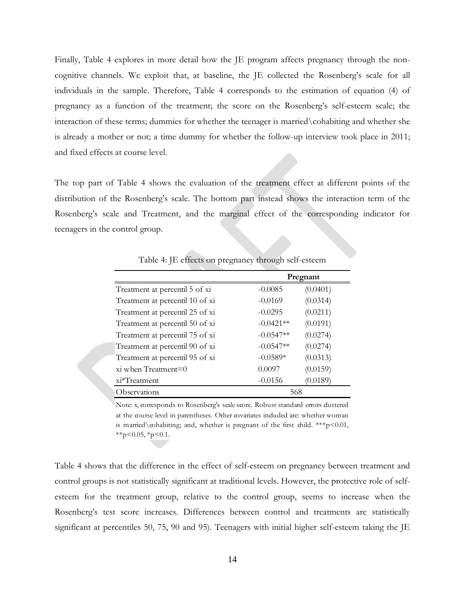Finally, Table 4 explores in more detail how the JE program affects pregnancy through the noncognitive channels. We exploit that, at baseline, the JE collected the Rosenberg's scale for all individuals in the sample. Therefore, Table 4 corresponds to the estimation of equation (4) of pregnancy as a function of the treatment; the score on the Rosenberg's self-esteem scale; the interaction of these terms; dummies for whether the teenager is married\cohabiting and whether she is already a mother or not; a time dummy for whether the follow-up interview took place in 2011; and fixed effects at course level.

The top part of Table 4 shows the evaluation of the treatment effect at different points of the distribution of the Rosenberg's scale. The bottom part instead shows the interaction term of the Rosenberg's scale and Treatment, and the marginal effect of the corresponding indicator for teenagers in the control group.

|                                 | Pregnant    |          |  |
|---------------------------------|-------------|----------|--|
| Treatment at percentil 5 of xi  | $-0.0085$   | (0.0401) |  |
| Treatment at percentil 10 of xi | $-0.0169$   | (0.0314) |  |
| Treatment at percentil 25 of xi | $-0.0295$   | (0.0211) |  |
| Treatment at percentil 50 of xi | $-0.0421**$ | (0.0191) |  |
| Treatment at percentil 75 of xi | $-0.0547**$ | (0.0274) |  |
| Treatment at percentil 90 of xi | $-0.0547**$ | (0.0274) |  |
| Treatment at percentil 95 of xi | $-0.0589*$  | (0.0313) |  |
| xi when Treatment=0             | 0.0097      | (0.0159) |  |
| xi*Treatment                    | $-0.0156$   | (0.0189) |  |
| Observations                    | 568         |          |  |

Table 4: JE effects on pregnancy through self-esteem

Note: x<sub>i</sub> corresponds to Rosenberg's scale score. Robust standard errors dustered at the course level in parentheses. Other covariates induded are: whether woman is married\cohabiting; and, whether is pregnant of the first child. \*\*\*p<0.01,  $*p<0.05, *p<0.1$ .

Table 4 shows that the difference in the effect of self-esteem on pregnancy between treatment and control groups is not statistically significant at traditional levels. However, the protective role of selfesteem for the treatment group, relative to the control group, seems to increase when the Rosenberg's test score increases. Differences between control and treatments are statistically significant at percentiles 50, 75, 90 and 95). Teenagers with initial higher self-esteem taking the JE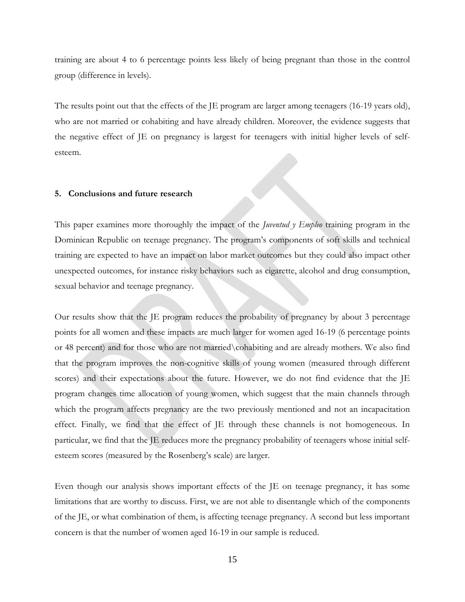training are about 4 to 6 percentage points less likely of being pregnant than those in the control group (difference in levels).

The results point out that the effects of the JE program are larger among teenagers (16-19 years old), who are not married or cohabiting and have already children. Moreover, the evidence suggests that the negative effect of JE on pregnancy is largest for teenagers with initial higher levels of selfesteem.

# **5. Conclusions and future research**

This paper examines more thoroughly the impact of the *Juventud y Empleo* training program in the Dominican Republic on teenage pregnancy. The program's components of soft skills and technical training are expected to have an impact on labor market outcomes but they could also impact other unexpected outcomes, for instance risky behaviors such as cigarette, alcohol and drug consumption, sexual behavior and teenage pregnancy.

Our results show that the JE program reduces the probability of pregnancy by about 3 percentage points for all women and these impacts are much larger for women aged 16-19 (6 percentage points or 48 percent) and for those who are not married\cohabiting and are already mothers. We also find that the program improves the non-cognitive skills of young women (measured through different scores) and their expectations about the future. However, we do not find evidence that the JE program changes time allocation of young women, which suggest that the main channels through which the program affects pregnancy are the two previously mentioned and not an incapacitation effect. Finally, we find that the effect of JE through these channels is not homogeneous. In particular, we find that the JE reduces more the pregnancy probability of teenagers whose initial selfesteem scores (measured by the Rosenberg's scale) are larger.

Even though our analysis shows important effects of the JE on teenage pregnancy, it has some limitations that are worthy to discuss. First, we are not able to disentangle which of the components of the JE, or what combination of them, is affecting teenage pregnancy. A second but less important concern is that the number of women aged 16-19 in our sample is reduced.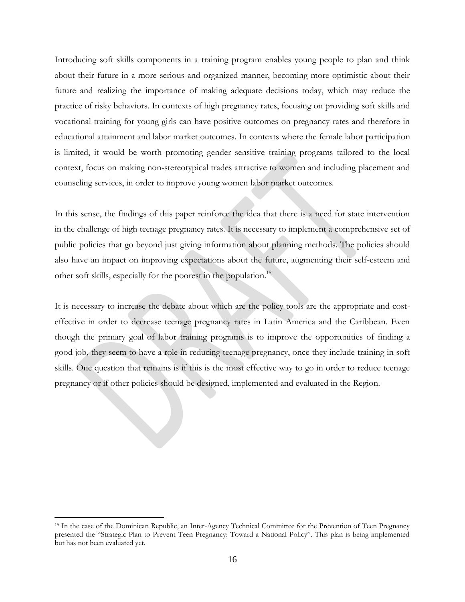Introducing soft skills components in a training program enables young people to plan and think about their future in a more serious and organized manner, becoming more optimistic about their future and realizing the importance of making adequate decisions today, which may reduce the practice of risky behaviors. In contexts of high pregnancy rates, focusing on providing soft skills and vocational training for young girls can have positive outcomes on pregnancy rates and therefore in educational attainment and labor market outcomes. In contexts where the female labor participation is limited, it would be worth promoting gender sensitive training programs tailored to the local context, focus on making non-stereotypical trades attractive to women and including placement and counseling services, in order to improve young women labor market outcomes.

In this sense, the findings of this paper reinforce the idea that there is a need for state intervention in the challenge of high teenage pregnancy rates. It is necessary to implement a comprehensive set of public policies that go beyond just giving information about planning methods. The policies should also have an impact on improving expectations about the future, augmenting their self-esteem and other soft skills, especially for the poorest in the population.<sup>15</sup>

It is necessary to increase the debate about which are the policy tools are the appropriate and costeffective in order to decrease teenage pregnancy rates in Latin America and the Caribbean. Even though the primary goal of labor training programs is to improve the opportunities of finding a good job, they seem to have a role in reducing teenage pregnancy, once they include training in soft skills. One question that remains is if this is the most effective way to go in order to reduce teenage pregnancy or if other policies should be designed, implemented and evaluated in the Region.

<sup>15</sup> In the case of the Dominican Republic, an Inter-Agency Technical Committee for the Prevention of Teen Pregnancy presented the "Strategic Plan to Prevent Teen Pregnancy: Toward a National Policy". This plan is being implemented but has not been evaluated yet.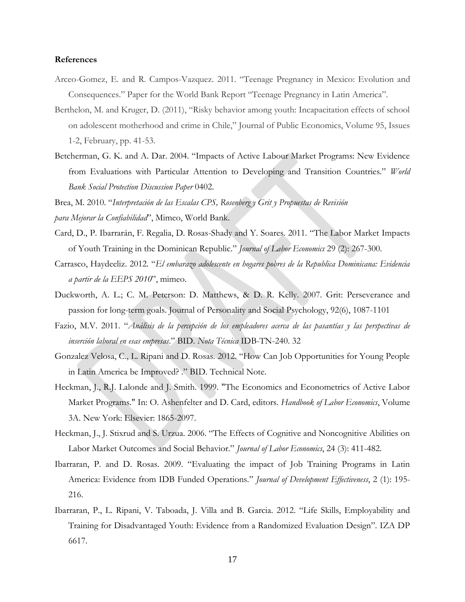#### **References**

- Arceo-Gomez, E. and R. Campos-Vazquez. 2011. "Teenage Pregnancy in Mexico: Evolution and Consequences." Paper for the World Bank Report "Teenage Pregnancy in Latin America".
- Berthelon, M. and Kruger, D. (2011), "Risky behavior among youth: Incapacitation effects of school on adolescent motherhood and crime in Chile," Journal of Public Economics, Volume 95, Issues 1-2, February, pp. 41-53.
- Betcherman, G. K. and A. Dar. 2004. "Impacts of Active Labour Market Programs: New Evidence from Evaluations with Particular Attention to Developing and Transition Countries." *World Bank Social Protection Discussion Paper* 0402.

Brea, M. 2010. "*Interpretación de las Escalas CPS, Rosenberg y Grit y Propuestas de Revisión*

- *para Mejorar la Confiabilidad*", Mimeo, World Bank.
- Card, D., P. Ibarrarán, F. Regalia, D. Rosas-Shady and Y. Soares. 2011. "The Labor Market Impacts of Youth Training in the Dominican Republic." *Journal of Labor Economics* 29 (2): 267-300.
- Carrasco, Haydeeliz. 2012. "*El embarazo adolescente en hogares pobres de la Republica Dominicana: Evidencia a partir de la EEPS 2010*", mimeo.
- Duckworth, A. L.; C. M. Peterson: D. Matthews, & D. R. Kelly. 2007. Grit: Perseverance and passion for long-term goals. Journal of Personality and Social Psychology, 92(6), 1087-1101
- Fazio, M.V. 2011. "*Análisis de la percepción de los empleadores acerca de las pasantías y las perspectivas de inserción laboral en esas empresas*." BID. *Nota Técnica* IDB-TN-240. 32
- Gonzalez Velosa, C., L. Ripani and D. Rosas. 2012. "How Can Job Opportunities for Young People in Latin America be Improved? ." BID. Technical Note.
- Heckman, J., R.J. Lalonde and J. Smith. 1999. "The Economics and Econometrics of Active Labor Market Programs." In: O. Ashenfelter and D. Card, editors. *Handbook of Labor Economics*, Volume 3A. New York: Elsevier: 1865-2097.
- Heckman, J., J. Stixrud and S. Urzua. 2006. "The Effects of Cognitive and Noncognitive Abilities on Labor Market Outcomes and Social Behavior." *Journal of Labor Economics*, 24 (3): 411-482.
- Ibarraran, P. and D. Rosas. 2009. "Evaluating the impact of Job Training Programs in Latin America: Evidence from IDB Funded Operations." *Journal of Development Effectiveness*, 2 (1): 195- 216.
- Ibarraran, P., L. Ripani, V. Taboada, J. Villa and B. Garcia. 2012. "Life Skills, Employability and Training for Disadvantaged Youth: Evidence from a Randomized Evaluation Design". IZA DP 6617.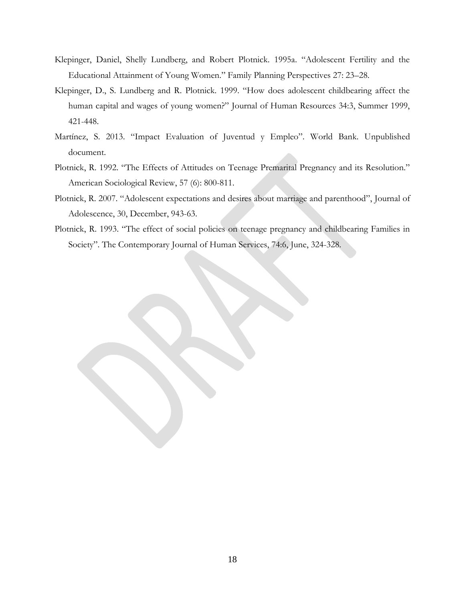- Klepinger, Daniel, Shelly Lundberg, and Robert Plotnick. 1995a. "Adolescent Fertility and the Educational Attainment of Young Women." Family Planning Perspectives 27: 23–28.
- Klepinger, D., S. Lundberg and R. Plotnick. 1999. "How does adolescent childbearing affect the human capital and wages of young women?" Journal of Human Resources 34:3, Summer 1999, 421-448.
- Martínez, S. 2013. "Impact Evaluation of Juventud y Empleo". World Bank. Unpublished document.
- Plotnick, R. 1992. "The Effects of Attitudes on Teenage Premarital Pregnancy and its Resolution." American Sociological Review, 57 (6): 800-811.
- Plotnick, R. 2007. "Adolescent expectations and desires about marriage and parenthood", Journal of Adolescence, 30, December, 943-63.
- Plotnick, R. 1993. "The effect of social policies on teenage pregnancy and childbearing Families in Society". The Contemporary Journal of Human Services, 74:6, June, 324-328.